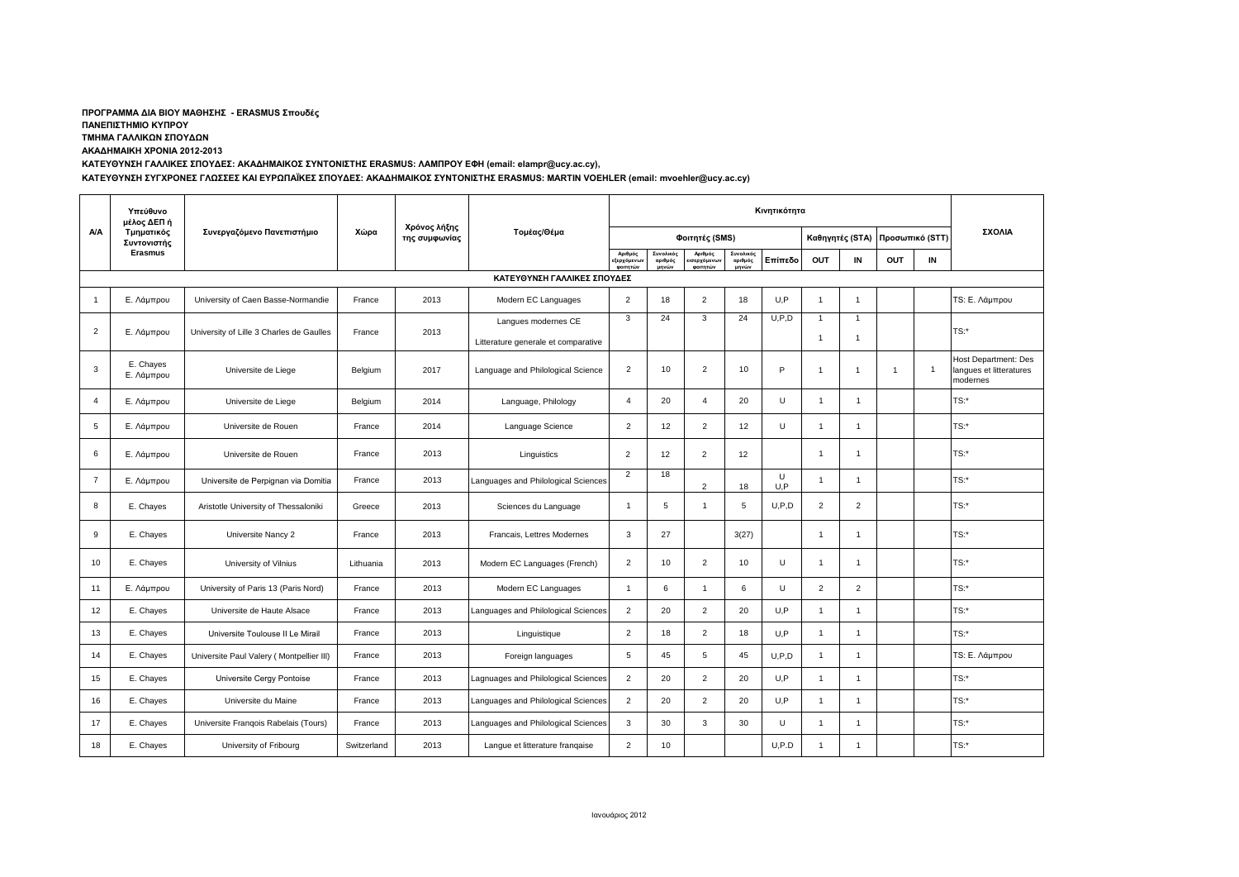## **ΠΡΟΓΡΑΜΜΑ ΔΙΑ ΒΙΟΥ ΜΑΘΗΣΗΣ - ERASMUS Σπουδές**

**ΠΑΝΕΠΙΣΤΗΜΙΟ ΚΥΠΡΟΥ**

**ΤΜΗΜΑ ΓΑΛΛΙΚΩΝ ΣΠΟΥΔΩΝ**

**ΑΚΑΔΗΜΑΙΚΗ ΧΡΟΝΙΑ 2012-2013**

**ΚΑΤΕΥΘΥΝΣΗ ΓΑΛΛΙΚΕΣ ΣΠΟΥΔΕΣ: ΑΚΑΔΗΜΑΙΚΟΣ ΣΥΝΤΟΝΙΣΤΗΣ ERASMUS: ΛΑΜΠΡΟΥ ΕΦΗ (email: elampr@ucy.ac.cy),** 

**ΚΑΤΕΥΘΥΝΣΗ ΣΥΓΧΡΟΝΕΣ ΓΛΩΣΣΕΣ ΚΑΙ ΕΥΡΩΠΑΪΚΕΣ ΣΠΟΥΔΕΣ: ΑΚΑΔΗΜΑΙΚΟΣ ΣΥΝΤΟΝΙΣΤΗΣ ERASMUS: MARTIN VOEHLER (email: mvoehler@ucy.ac.cy)**

|                             | Υπεύθυνο<br>μέλος ΔΕΠ ή<br>Τμηματικός<br>Συντονιστής | Συνεργαζόμενο Πανεπιστήμιο               |             | Χρόνος λήξης<br>της συμφωνίας | Τομέας/Θέμα                         | Κινητικότητα                       |                               |                                                   |                               |          |                |                |                                 |                |                                                                    |
|-----------------------------|------------------------------------------------------|------------------------------------------|-------------|-------------------------------|-------------------------------------|------------------------------------|-------------------------------|---------------------------------------------------|-------------------------------|----------|----------------|----------------|---------------------------------|----------------|--------------------------------------------------------------------|
| <b>A/A</b>                  |                                                      |                                          | Χώρα        |                               |                                     | Φοιτητές (SMS)                     |                               |                                                   |                               |          |                |                | Καθηγητές (STA) Προσωπικό (STT) |                | ΣΧΟΛΙΑ                                                             |
|                             | <b>Erasmus</b>                                       |                                          |             |                               |                                     | Αριθμός<br>εξερχόμενων<br>φοιτητών | Συνολικός<br>αριθμός<br>μηνών | Αριθμός<br>εισερχόμενω <mark>ν</mark><br>φοιτητών | Συνολικός<br>αριθμός<br>μηνών | Επίπεδο  | OUT            | IN             | OUT                             | IN             |                                                                    |
| ΚΑΤΕΥΘΥΝΣΗ ΓΑΛΛΙΚΕΣ ΣΠΟΥΔΕΣ |                                                      |                                          |             |                               |                                     |                                    |                               |                                                   |                               |          |                |                |                                 |                |                                                                    |
| $\overline{1}$              | Ε. Λάμπρου                                           | University of Caen Basse-Normandie       | France      | 2013                          | Modern EC Languages                 | $\overline{2}$                     | 18                            | $\overline{2}$                                    | 18                            | U.P      | $\overline{1}$ | $\overline{1}$ |                                 |                | TS: Ε. Λάμπρου                                                     |
|                             |                                                      |                                          |             |                               | Langues modernes CE                 | 3                                  | 24                            | 3                                                 | 24                            | U, P, D  | $\mathbf{1}$   | $\overline{1}$ |                                 |                |                                                                    |
| $\overline{2}$              | Ε. Λάμπρου                                           | University of Lille 3 Charles de Gaulles | France      | 2013                          | Litterature generale et comparative |                                    |                               |                                                   |                               |          |                | $\overline{1}$ |                                 |                | TS:*                                                               |
| 3                           | E. Chayes<br>Ε. Λάμπρου                              | Universite de Liege                      | Belaium     | 2017                          | Language and Philological Science   | $\overline{2}$                     | 10                            | $\overline{2}$                                    | 10                            | P        | -1             | $\overline{1}$ | $\overline{1}$                  | $\overline{1}$ | <b>Host Department: Des</b><br>langues et litteratures<br>modernes |
| $\overline{4}$              | Ε. Λάμπρου                                           | Universite de Liege                      | Belgium     | 2014                          | Language, Philology                 | $\overline{4}$                     | 20                            | $\overline{4}$                                    | 20                            | $\cup$   | $\mathbf{1}$   | $\overline{1}$ |                                 |                | $TS:$ *                                                            |
| 5                           | Ε. Λάμπρου                                           | Universite de Rouen                      | France      | 2014                          | Language Science                    | $\overline{2}$                     | 12                            | $\overline{2}$                                    | 12                            | U        | $\mathbf{1}$   | $\overline{1}$ |                                 |                | TS:*                                                               |
| 6                           | Ε. Λάμπρου                                           | Universite de Rouen                      | France      | 2013                          | Linguistics                         | $\overline{2}$                     | 12                            | $\overline{2}$                                    | 12                            |          | $\overline{1}$ | $\overline{1}$ |                                 |                | TS:*                                                               |
| $\overline{7}$              | Ε. Λάμπρου                                           | Universite de Perpignan via Domitia      | France      | 2013                          | Languages and Philological Sciences | 2                                  | 18                            | $\mathfrak{D}$                                    | 18                            | U<br>U.P | $\overline{1}$ | $\overline{1}$ |                                 |                | $TS:$ *                                                            |
| 8                           | E. Chayes                                            | Aristotle University of Thessaloniki     | Greece      | 2013                          | Sciences du Language                | $\overline{1}$                     | 5                             | $\overline{1}$                                    | 5                             | U, P, D  | $\overline{2}$ | $\overline{2}$ |                                 |                | TS:*                                                               |
| 9                           | E. Chayes                                            | Universite Nancy 2                       | France      | 2013                          | Francais, Lettres Modernes          | 3                                  | 27                            |                                                   | 3(27)                         |          | $\overline{1}$ | $\overline{1}$ |                                 |                | $TS:$ *                                                            |
| 10                          | E. Chayes                                            | University of Vilnius                    | Lithuania   | 2013                          | Modern EC Languages (French)        | $\overline{2}$                     | 10                            | $\overline{2}$                                    | 10                            | U        | $\mathbf{1}$   | $\overline{1}$ |                                 |                | $TS:$ *                                                            |
| 11                          | Ε. Λάμπρου                                           | University of Paris 13 (Paris Nord)      | France      | 2013                          | Modern EC Languages                 | $\overline{1}$                     | 6                             | $\overline{1}$                                    | 6                             | U        | $\overline{2}$ | 2              |                                 |                | $TS:$ *                                                            |
| 12                          | E. Chayes                                            | Universite de Haute Alsace               | France      | 2013                          | Languages and Philological Sciences | $\overline{2}$                     | 20                            | $\overline{2}$                                    | 20                            | U.P      | -1             | $\overline{1}$ |                                 |                | TS:*                                                               |
| 13                          | E. Chayes                                            | Universite Toulouse II Le Mirail         | France      | 2013                          | Linguistique                        | $\overline{2}$                     | 18                            | $\overline{2}$                                    | 18                            | U.P      | $\overline{1}$ | $\overline{1}$ |                                 |                | $TS:$ *                                                            |
| 14                          | E. Chayes                                            | Universite Paul Valery (Montpellier III) | France      | 2013                          | Foreign languages                   | 5                                  | 45                            | 5                                                 | 45                            | U.P.D    | $\overline{1}$ | $\overline{1}$ |                                 |                | TS: Ε. Λάμπρου                                                     |
| 15                          | E. Chayes                                            | Universite Cergy Pontoise                | France      | 2013                          | Lagnuages and Philological Sciences | $\overline{2}$                     | 20                            | $\overline{2}$                                    | 20                            | U, P     | $\overline{1}$ | $\overline{1}$ |                                 |                | $TS:$ *                                                            |
| 16                          | E. Chayes                                            | Universite du Maine                      | France      | 2013                          | Languages and Philological Sciences | $\overline{2}$                     | 20                            | $\overline{2}$                                    | 20                            | U, P     | $\mathbf{1}$   | $\overline{1}$ |                                 |                | TS:*                                                               |
| 17                          | E. Chayes                                            | Universite Frangois Rabelais (Tours)     | France      | 2013                          | Languages and Philological Sciences | 3                                  | 30                            | 3                                                 | 30                            | U        | $\overline{1}$ | $\overline{1}$ |                                 |                | $TS:$ *                                                            |
| 18                          | E. Chayes                                            | University of Fribourg                   | Switzerland | 2013                          | Langue et litterature franqaise     | 2                                  | 10                            |                                                   |                               | U.P.D    | $\mathbf{1}$   | -1             |                                 |                | TS:*                                                               |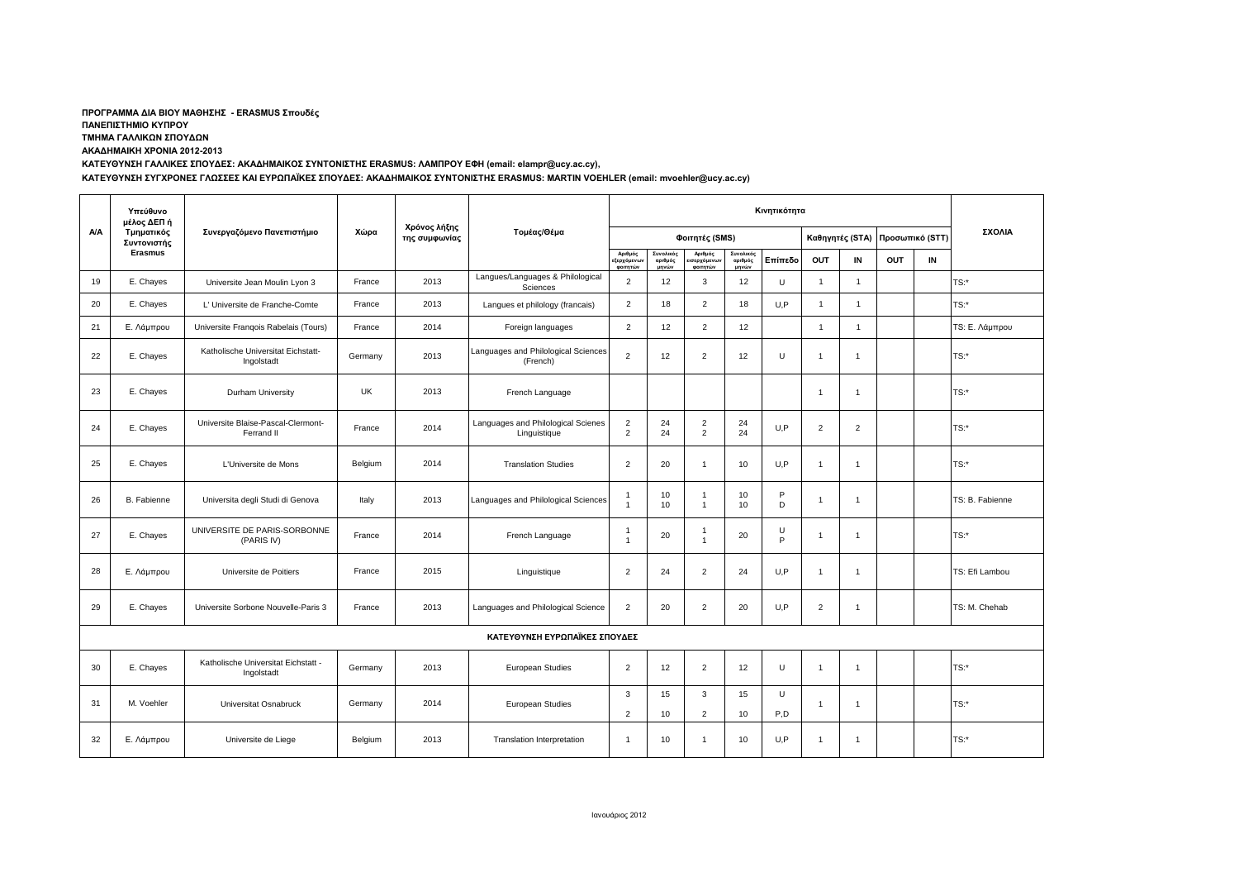## **ΠΡΟΓΡΑΜΜΑ ΔΙΑ ΒΙΟΥ ΜΑΘΗΣΗΣ - ERASMUS Σπουδές**

**ΠΑΝΕΠΙΣΤΗΜΙΟ ΚΥΠΡΟΥ**

**ΤΜΗΜΑ ΓΑΛΛΙΚΩΝ ΣΠΟΥΔΩΝ**

# **ΑΚΑΔΗΜΑΙΚΗ ΧΡΟΝΙΑ 2012-2013**

**ΚΑΤΕΥΘΥΝΣΗ ΓΑΛΛΙΚΕΣ ΣΠΟΥΔΕΣ: ΑΚΑΔΗΜΑΙΚΟΣ ΣΥΝΤΟΝΙΣΤΗΣ ERASMUS: ΛΑΜΠΡΟΥ ΕΦΗ (email: elampr@ucy.ac.cy),** 

**ΚΑΤΕΥΘΥΝΣΗ ΣΥΓΧΡΟΝΕΣ ΓΛΩΣΣΕΣ ΚΑΙ ΕΥΡΩΠΑΪΚΕΣ ΣΠΟΥΔΕΣ: ΑΚΑΔΗΜΑΙΚΟΣ ΣΥΝΤΟΝΙΣΤΗΣ ERASMUS: MARTIN VOEHLER (email: mvoehler@ucy.ac.cy)**

|                               | Υπεύθυνο<br>μέλος ΔΕΠ ή<br>Τμηματικός<br>Συντονιστής | Συνεργαζόμενο Πανεπιστήμιο                        | Χώρα    |                               | Τομέας/Θέμα                                        | Κινητικότητα                       |                               |                                                  |                               |          |                |                 |                 |    |                 |
|-------------------------------|------------------------------------------------------|---------------------------------------------------|---------|-------------------------------|----------------------------------------------------|------------------------------------|-------------------------------|--------------------------------------------------|-------------------------------|----------|----------------|-----------------|-----------------|----|-----------------|
| <b>A/A</b>                    |                                                      |                                                   |         | Χρόνος λήξης<br>της συμφωνίας |                                                    | Φοιτητές (SMS)                     |                               |                                                  |                               |          |                | Καθηγητές (STA) | Προσωπικό (STT) |    | ΣΧΟΛΙΑ          |
|                               | Erasmus                                              |                                                   |         |                               |                                                    | Αριθμός<br>εξερχόμενων<br>φοιτητών | Συνολικός<br>αριθμός<br>μηνών | Αριθμός<br><mark>εισερχόμενων</mark><br>φοιτητών | Συνολικός<br>αριθμός<br>μηνών | Επίπεδο  | OUT            | IN              | OUT             | IN |                 |
| 19                            | E. Chayes                                            | Universite Jean Moulin Lyon 3                     | France  | 2013                          | Langues/Languages & Philological<br>Sciences       | $\overline{2}$                     | 12                            | 3                                                | 12                            | U        | $\overline{1}$ | $\overline{1}$  |                 |    | $TS:$ *         |
| 20                            | E. Chayes                                            | L' Universite de Franche-Comte                    | France  | 2013                          | Langues et philology (francais)                    | $\overline{2}$                     | 18                            | $\overline{2}$                                   | 18                            | U.P      | $\overline{1}$ | $\overline{1}$  |                 |    | TS:*            |
| 21                            | Ε. Λάμπρου                                           | Universite Franqois Rabelais (Tours)              | France  | 2014                          | Foreign languages                                  | 2                                  | 12                            | 2                                                | 12                            |          | $\overline{1}$ | $\overline{1}$  |                 |    | TS: Ε. Λάμπρου  |
| 22                            | E. Chayes                                            | Katholische Universitat Eichstatt-<br>Ingolstadt  | Germany | 2013                          | Languages and Philological Sciences<br>(French)    | $\overline{2}$                     | 12                            | $\overline{2}$                                   | 12                            | U        | $\overline{1}$ | $\overline{1}$  |                 |    | TS:*            |
| 23                            | E. Chayes                                            | Durham University                                 | UK      | 2013                          | French Language                                    |                                    |                               |                                                  |                               |          | $\overline{1}$ | $\overline{1}$  |                 |    | TS:*            |
| 24                            | E. Chayes                                            | Universite Blaise-Pascal-Clermont-<br>Ferrand II  | France  | 2014                          | Languages and Philological Scienes<br>Linguistique | $\overline{2}$<br>$\overline{2}$   | 24<br>24                      | $\overline{2}$<br>$\overline{2}$                 | 24<br>24                      | U.P      | $\overline{2}$ | 2               |                 |    | TS:*            |
| 25                            | E. Chayes                                            | L'Universite de Mons                              | Belgium | 2014                          | <b>Translation Studies</b>                         | $\overline{2}$                     | 20                            | $\overline{1}$                                   | 10                            | U, P     | $\overline{1}$ | $\overline{1}$  |                 |    | TS:*            |
| 26                            | <b>B.</b> Fabienne                                   | Universita degli Studi di Genova                  | Italy   | 2013                          | Languages and Philological Sciences                | $\overline{1}$<br>$\overline{1}$   | 10<br>10                      | $\mathbf{1}$<br>$\overline{1}$                   | 10<br>10                      | P<br>D   | $\overline{1}$ | $\overline{1}$  |                 |    | TS: B. Fabienne |
| 27                            | E. Chayes                                            | UNIVERSITE DE PARIS-SORBONNE<br>(PARIS IV)        | France  | 2014                          | French Language                                    | -1<br>$\overline{1}$               | 20                            | -1<br>$\overline{1}$                             | 20                            | U<br>P   | $\overline{1}$ | $\overline{1}$  |                 |    | $TS:$ *         |
| 28                            | Ε. Λάμπρου                                           | Universite de Poitiers                            | France  | 2015                          | Linguistique                                       | $\overline{2}$                     | 24                            | $\overline{2}$                                   | 24                            | U, P     | $\overline{1}$ | $\overline{1}$  |                 |    | TS: Efi Lambou  |
| 29                            | E. Chayes                                            | Universite Sorbone Nouvelle-Paris 3               | France  | 2013                          | Languages and Philological Science                 | $\overline{2}$                     | 20                            | $\overline{2}$                                   | 20                            | U,P      | 2              | $\overline{1}$  |                 |    | TS: M. Chehab   |
| ΚΑΤΕΥΘΥΝΣΗ ΕΥΡΩΠΑΪΚΕΣ ΣΠΟΥΔΕΣ |                                                      |                                                   |         |                               |                                                    |                                    |                               |                                                  |                               |          |                |                 |                 |    |                 |
| 30                            | E. Chayes                                            | Katholische Universitat Eichstatt -<br>Ingolstadt | Germany | 2013                          | European Studies                                   | $\overline{2}$                     | 12                            | $\overline{2}$                                   | 12                            | U        | $\overline{1}$ | $\overline{1}$  |                 |    | TS:*            |
| 31                            | M. Voehler                                           | Universitat Osnabruck                             | Germany | 2014                          | European Studies                                   | 3<br>$\overline{2}$                | 15<br>10                      | 3<br>$\overline{2}$                              | 15<br>10                      | U<br>P,D | $\overline{1}$ | $\overline{1}$  |                 |    | TS:*            |
| 32                            | Ε. Λάμπρου                                           | Universite de Liege                               | Belgium | 2013                          | <b>Translation Interpretation</b>                  | $\overline{1}$                     | 10                            | $\overline{1}$                                   | 10                            | U.P      | $\overline{1}$ | $\overline{1}$  |                 |    | $TS:$ *         |